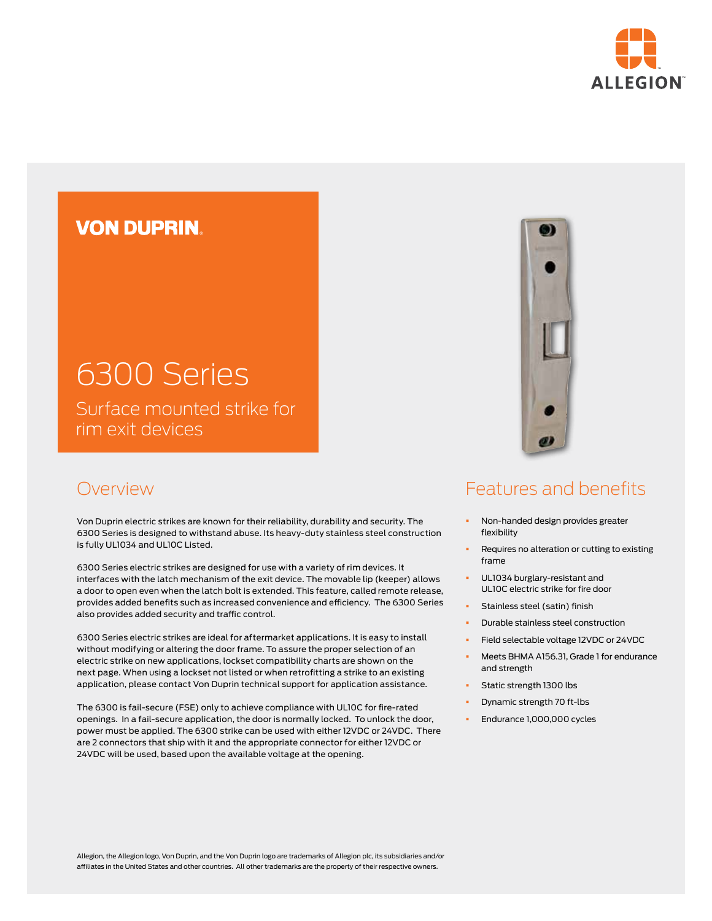

# **VON DUPRIN**

# 6300 Series Surface mounted strike for

rim exit devices

### Overview

Von Duprin electric strikes are known for their reliability, durability and security. The 6300 Series is designed to withstand abuse. Its heavy-duty stainless steel construction is fully UL1034 and UL10C Listed.

6300 Series electric strikes are designed for use with a variety of rim devices. It interfaces with the latch mechanism of the exit device. The movable lip (keeper) allows a door to open even when the latch bolt is extended. This feature, called remote release, provides added benefits such as increased convenience and efficiency. The 6300 Series also provides added security and traffic control.

6300 Series electric strikes are ideal for aftermarket applications. It is easy to install without modifying or altering the door frame. To assure the proper selection of an electric strike on new applications, lockset compatibility charts are shown on the next page. When using a lockset not listed or when retrofitting a strike to an existing application, please contact Von Duprin technical support for application assistance.

The 6300 is fail-secure (FSE) only to achieve compliance with UL10C for fire-rated openings. In a fail-secure application, the door is normally locked. To unlock the door, power must be applied. The 6300 strike can be used with either 12VDC or 24VDC. There are 2 connectors that ship with it and the appropriate connector for either 12VDC or 24VDC will be used, based upon the available voltage at the opening.



## Features and benefits

- § Non-handed design provides greater flexibility
- § Requires no alteration or cutting to existing frame
- UL1034 burglary-resistant and UL10C electric strike for fire door
- Stainless steel (satin) finish
- § Durable stainless steel construction
- § Field selectable voltage 12VDC or 24VDC
- § Meets BHMA A156.31, Grade 1 for endurance and strength
- § Static strength 1300 lbs
- § Dynamic strength 70 ft-lbs
- § Endurance 1,000,000 cycles

Allegion, the Allegion logo, Von Duprin, and the Von Duprin logo are trademarks of Allegion plc, its subsidiaries and/or affiliates in the United States and other countries. All other trademarks are the property of their respective owners.